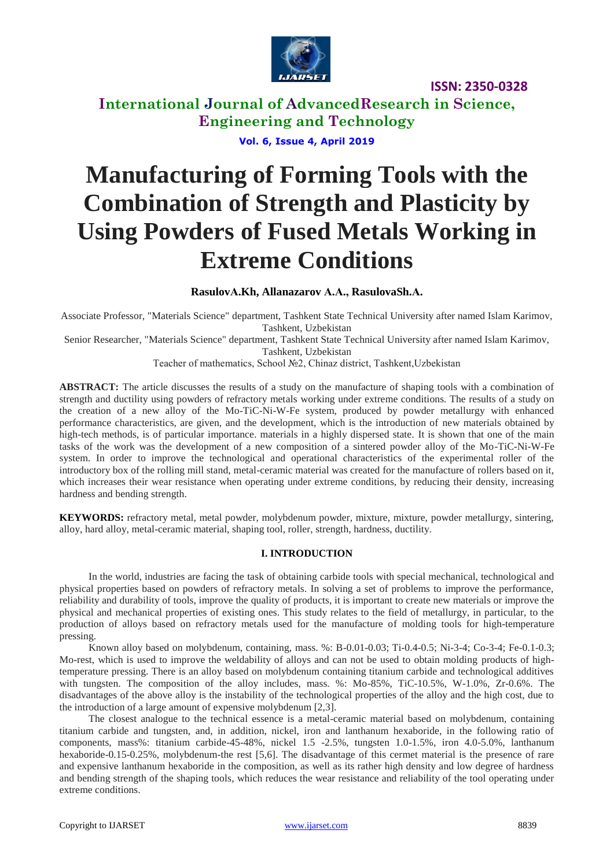

**International Journal of AdvancedResearch in Science, Engineering and Technology**

**Vol. 6, Issue 4, April 2019**

# **Manufacturing of Forming Tools with the Combination of Strength and Plasticity by Using Powders of Fused Metals Working in Extreme Conditions**

**RasulovА.Kh, Allanazarov А.А., RasulovaSh.А.**

Associate Professor, "Materials Science" department, Tashkent State Technical University after named Islam Karimov, Tashkent, Uzbekistan

Senior Researcher, "Materials Science" department, Tashkent State Technical University after named Islam Karimov, Tashkent, Uzbekistan

Teacher of mathematics, School №2, Chinaz district, Tashkent,Uzbekistan

**ABSTRACT:** The article discusses the results of a study on the manufacture of shaping tools with a combination of strength and ductility using powders of refractory metals working under extreme conditions. The results of a study on the creation of a new alloy of the Mo-TiC-Ni-W-Fe system, produced by powder metallurgy with enhanced performance characteristics, are given, and the development, which is the introduction of new materials obtained by high-tech methods, is of particular importance. materials in a highly dispersed state. It is shown that one of the main tasks of the work was the development of a new composition of a sintered powder alloy of the Mo-TiC-Ni-W-Fe system. In order to improve the technological and operational characteristics of the experimental roller of the introductory box of the rolling mill stand, metal-ceramic material was created for the manufacture of rollers based on it, which increases their wear resistance when operating under extreme conditions, by reducing their density, increasing hardness and bending strength.

**KEYWORDS:** refractory metal, metal powder, molybdenum powder, mixture, mixture, powder metallurgy, sintering, alloy, hard alloy, metal-ceramic material, shaping tool, roller, strength, hardness, ductility.

#### **I. INTRODUCTION**

In the world, industries are facing the task of obtaining carbide tools with special mechanical, technological and physical properties based on powders of refractory metals. In solving a set of problems to improve the performance, reliability and durability of tools, improve the quality of products, it is important to create new materials or improve the physical and mechanical properties of existing ones. This study relates to the field of metallurgy, in particular, to the production of alloys based on refractory metals used for the manufacture of molding tools for high-temperature pressing.

Known alloy based on molybdenum, containing, mass. %: B-0.01-0.03; Ti-0.4-0.5; Ni-3-4; Co-3-4; Fe-0.1-0.3; Mo-rest, which is used to improve the weldability of alloys and can not be used to obtain molding products of hightemperature pressing. There is an alloy based on molybdenum containing titanium carbide and technological additives with tungsten. The composition of the alloy includes, mass. %: Mo-85%, TiC-10.5%, W-1.0%, Zr-0.6%. The disadvantages of the above alloy is the instability of the technological properties of the alloy and the high cost, due to the introduction of a large amount of expensive molybdenum [2,3].

The closest analogue to the technical essence is a metal-ceramic material based on molybdenum, containing titanium carbide and tungsten, and, in addition, nickel, iron and lanthanum hexaboride, in the following ratio of components, mass%: titanium carbide-45-48%, nickel 1.5 -2.5%, tungsten 1.0-1.5%, iron 4.0-5.0%, lanthanum hexaboride-0.15-0.25%, molybdenum-the rest [5,6]. The disadvantage of this cermet material is the presence of rare and expensive lanthanum hexaboride in the composition, as well as its rather high density and low degree of hardness and bending strength of the shaping tools, which reduces the wear resistance and reliability of the tool operating under extreme conditions.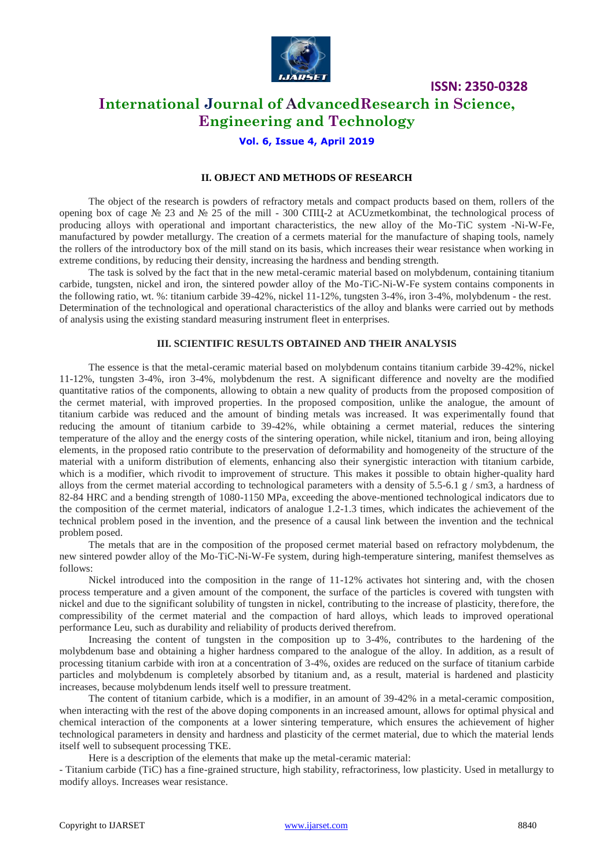

# **International Journal of AdvancedResearch in Science, Engineering and Technology**

## **Vol. 6, Issue 4, April 2019**

### **II. OBJECT AND METHODS OF RESEARCH**

The object of the research is powders of refractory metals and compact products based on them, rollers of the opening box of cage № 23 and № 25 of the mill - 300 СПЦ-2 at ACUzmetkombinat, the technological process of producing alloys with operational and important characteristics, the new alloy of the Mo-TiC system -Ni-W-Fe, manufactured by powder metallurgy. The creation of a cermets material for the manufacture of shaping tools, namely the rollers of the introductory box of the mill stand on its basis, which increases their wear resistance when working in extreme conditions, by reducing their density, increasing the hardness and bending strength.

The task is solved by the fact that in the new metal-ceramic material based on molybdenum, containing titanium carbide, tungsten, nickel and iron, the sintered powder alloy of the Mo-TiC-Ni-W-Fe system contains components in the following ratio, wt. %: titanium carbide 39-42%, nickel 11-12%, tungsten 3-4%, iron 3-4%, molybdenum - the rest. Determination of the technological and operational characteristics of the alloy and blanks were carried out by methods of analysis using the existing standard measuring instrument fleet in enterprises.

#### **III. SCIENTIFIC RESULTS OBTAINED AND THEIR ANALYSIS**

The essence is that the metal-ceramic material based on molybdenum contains titanium carbide 39-42%, nickel 11-12%, tungsten 3-4%, iron 3-4%, molybdenum the rest. A significant difference and novelty are the modified quantitative ratios of the components, allowing to obtain a new quality of products from the proposed composition of the cermet material, with improved properties. In the proposed composition, unlike the analogue, the amount of titanium carbide was reduced and the amount of binding metals was increased. It was experimentally found that reducing the amount of titanium carbide to 39-42%, while obtaining a cermet material, reduces the sintering temperature of the alloy and the energy costs of the sintering operation, while nickel, titanium and iron, being alloying elements, in the proposed ratio contribute to the preservation of deformability and homogeneity of the structure of the material with a uniform distribution of elements, enhancing also their synergistic interaction with titanium carbide, which is a modifier, which rivodit to improvement of structure. This makes it possible to obtain higher-quality hard alloys from the cermet material according to technological parameters with a density of 5.5-6.1 g  $/$  sm3, a hardness of 82-84 HRC and a bending strength of 1080-1150 MPa, exceeding the above-mentioned technological indicators due to the composition of the cermet material, indicators of analogue 1.2-1.3 times, which indicates the achievement of the technical problem posed in the invention, and the presence of a causal link between the invention and the technical problem posed.

The metals that are in the composition of the proposed cermet material based on refractory molybdenum, the new sintered powder alloy of the Mo-TiC-Ni-W-Fe system, during high-temperature sintering, manifest themselves as follows:

Nickel introduced into the composition in the range of 11-12% activates hot sintering and, with the chosen process temperature and a given amount of the component, the surface of the particles is covered with tungsten with nickel and due to the significant solubility of tungsten in nickel, contributing to the increase of plasticity, therefore, the compressibility of the cermet material and the compaction of hard alloys, which leads to improved operational performance Leu, such as durability and reliability of products derived therefrom.

Increasing the content of tungsten in the composition up to 3-4%, contributes to the hardening of the molybdenum base and obtaining a higher hardness compared to the analogue of the alloy. In addition, as a result of processing titanium carbide with iron at a concentration of 3-4%, oxides are reduced on the surface of titanium carbide particles and molybdenum is completely absorbed by titanium and, as a result, material is hardened and plasticity increases, because molybdenum lends itself well to pressure treatment.

The content of titanium carbide, which is a modifier, in an amount of 39-42% in a metal-ceramic composition, when interacting with the rest of the above doping components in an increased amount, allows for optimal physical and chemical interaction of the components at a lower sintering temperature, which ensures the achievement of higher technological parameters in density and hardness and plasticity of the cermet material, due to which the material lends itself well to subsequent processing TKE.

Here is a description of the elements that make up the metal-ceramic material:

- Titanium carbide (TiC) has a fine-grained structure, high stability, refractoriness, low plasticity. Used in metallurgy to modify alloys. Increases wear resistance.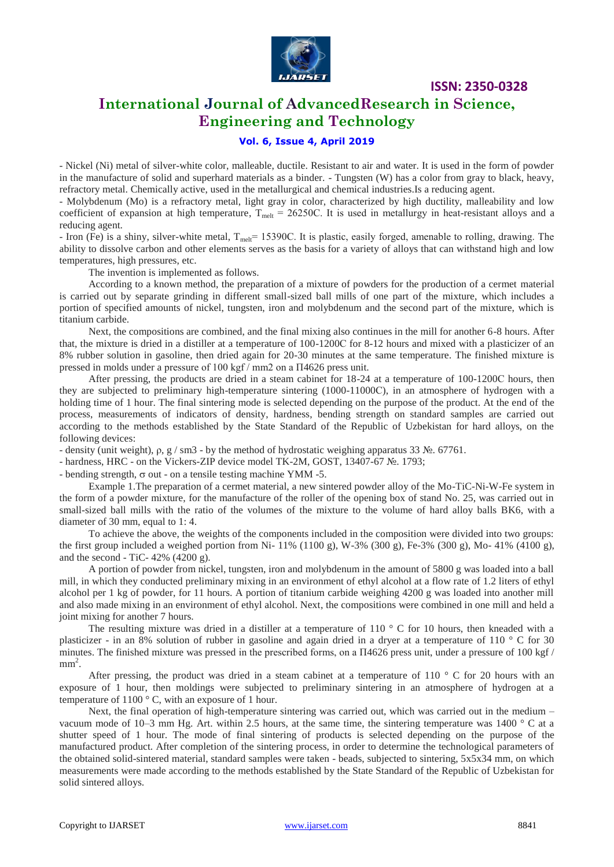

# **International Journal of AdvancedResearch in Science, Engineering and Technology**

## **Vol. 6, Issue 4, April 2019**

- Nickel (Ni) metal of silver-white color, malleable, ductile. Resistant to air and water. It is used in the form of powder in the manufacture of solid and superhard materials as a binder. - Tungsten (W) has a color from gray to black, heavy, refractory metal. Chemically active, used in the metallurgical and chemical industries.Is a reducing agent.

- Molybdenum (Mo) is a refractory metal, light gray in color, characterized by high ductility, malleability and low coefficient of expansion at high temperature,  $T_{melt} = 26250C$ . It is used in metallurgy in heat-resistant alloys and a reducing agent.

- Iron (Fe) is a shiny, silver-white metal,  $T_{\text{melt}}$  = 15390C. It is plastic, easily forged, amenable to rolling, drawing. The ability to dissolve carbon and other elements serves as the basis for a variety of alloys that can withstand high and low temperatures, high pressures, etc.

The invention is implemented as follows.

According to a known method, the preparation of a mixture of powders for the production of a cermet material is carried out by separate grinding in different small-sized ball mills of one part of the mixture, which includes a portion of specified amounts of nickel, tungsten, iron and molybdenum and the second part of the mixture, which is titanium carbide.

Next, the compositions are combined, and the final mixing also continues in the mill for another 6-8 hours. After that, the mixture is dried in a distiller at a temperature of 100-1200С for 8-12 hours and mixed with a plasticizer of an 8% rubber solution in gasoline, then dried again for 20-30 minutes at the same temperature. The finished mixture is pressed in molds under a pressure of 100 kgf / mm2 on a П4626 press unit.

After pressing, the products are dried in a steam cabinet for 18-24 at a temperature of 100-1200С hours, then they are subjected to preliminary high-temperature sintering (1000-11000С), in an atmosphere of hydrogen with a holding time of 1 hour. The final sintering mode is selected depending on the purpose of the product. At the end of the process, measurements of indicators of density, hardness, bending strength on standard samples are carried out according to the methods established by the State Standard of the Republic of Uzbekistan for hard alloys, on the following devices:

- density (unit weight),  $\rho$ , g / sm3 - by the method of hydrostatic weighing apparatus 33  $\mathcal{N}_2$ . 67761.

- hardness, HRC - on the Vickers-ZIP device model TK-2M, GOST, 13407-67 №. 1793;

- bending strength,  $\sigma$  out - on a tensile testing machine YMM -5.

Example 1.The preparation of a cermet material, a new sintered powder alloy of the Mo-TiC-Ni-W-Fe system in the form of a powder mixture, for the manufacture of the roller of the opening box of stand No. 25, was carried out in small-sized ball mills with the ratio of the volumes of the mixture to the volume of hard alloy balls BK6, with a diameter of 30 mm, equal to 1: 4.

To achieve the above, the weights of the components included in the composition were divided into two groups: the first group included a weighed portion from Ni- 11% (1100 g), W-3% (300 g), Fe-3% (300 g), Mo- 41% (4100 g), and the second - TiC-  $42\%$  ( $4200$  g).

A portion of powder from nickel, tungsten, iron and molybdenum in the amount of 5800 g was loaded into a ball mill, in which they conducted preliminary mixing in an environment of ethyl alcohol at a flow rate of 1.2 liters of ethyl alcohol per 1 kg of powder, for 11 hours. A portion of titanium carbide weighing 4200 g was loaded into another mill and also made mixing in an environment of ethyl alcohol. Next, the compositions were combined in one mill and held a joint mixing for another 7 hours.

The resulting mixture was dried in a distiller at a temperature of 110  $\degree$  C for 10 hours, then kneaded with a plasticizer - in an 8% solution of rubber in gasoline and again dried in a dryer at a temperature of 110 ° C for 30 minutes. The finished mixture was pressed in the prescribed forms, on a П4626 press unit, under a pressure of 100 kgf /  $mm<sup>2</sup>$ .

After pressing, the product was dried in a steam cabinet at a temperature of 110  $\degree$  C for 20 hours with an exposure of 1 hour, then moldings were subjected to preliminary sintering in an atmosphere of hydrogen at a temperature of  $1100^\circ$  C, with an exposure of 1 hour.

Next, the final operation of high-temperature sintering was carried out, which was carried out in the medium – vacuum mode of 10–3 mm Hg. Art. within 2.5 hours, at the same time, the sintering temperature was 1400 ° C at a shutter speed of 1 hour. The mode of final sintering of products is selected depending on the purpose of the manufactured product. After completion of the sintering process, in order to determine the technological parameters of the obtained solid-sintered material, standard samples were taken - beads, subjected to sintering, 5x5x34 mm, on which measurements were made according to the methods established by the State Standard of the Republic of Uzbekistan for solid sintered alloys.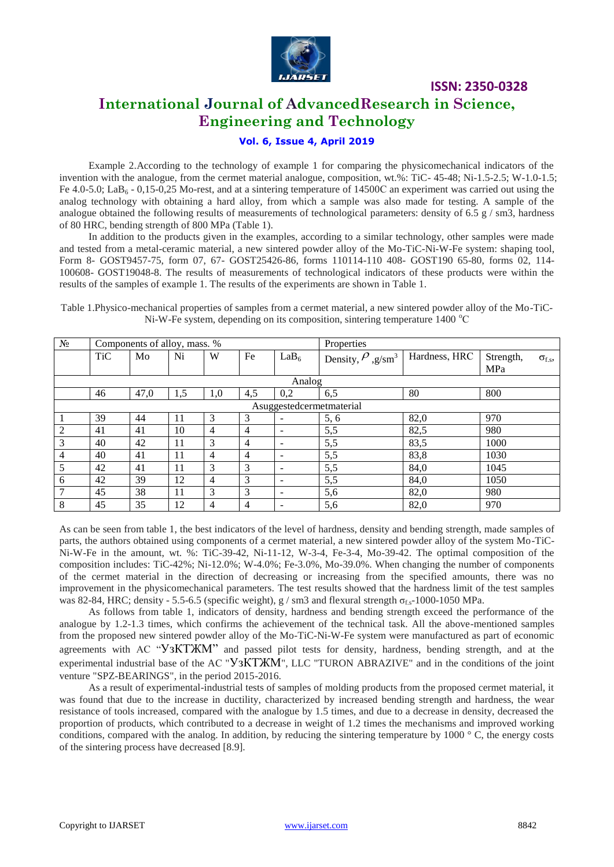

# **International Journal of AdvancedResearch in Science, Engineering and Technology**

## **Vol. 6, Issue 4, April 2019**

Example 2.According to the technology of example 1 for comparing the physicomechanical indicators of the invention with the analogue, from the cermet material analogue, composition, wt.%: TiC- 45-48; Ni-1.5-2.5; W-1.0-1.5; Fe 4.0-5.0; LaB<sub>6</sub> - 0,15-0,25 Mo-rest, and at a sintering temperature of 14500C an experiment was carried out using the analog technology with obtaining a hard alloy, from which a sample was also made for testing. A sample of the analogue obtained the following results of measurements of technological parameters: density of 6.5  $g / sm3$ , hardness of 80 HRC, bending strength of 800 MPa (Table 1).

In addition to the products given in the examples, according to a similar technology, other samples were made and tested from a metal-ceramic material, a new sintered powder alloy of the Mo-TiC-Ni-W-Fe system: shaping tool, Form 8- GOST9457-75, form 07, 67- GOST25426-86, forms 110114-110 408- GOST190 65-80, forms 02, 114- 100608- GOST19048-8. The results of measurements of technological indicators of these products were within the results of the samples of example 1. The results of the experiments are shown in Table 1.

| N <sub>2</sub>           | Components of alloy, mass. % |      |     |                |                |                          | Properties                       |               |           |                 |
|--------------------------|------------------------------|------|-----|----------------|----------------|--------------------------|----------------------------------|---------------|-----------|-----------------|
|                          | <b>TiC</b>                   | Mo   | Ni  | W              | Fe             | LaB <sub>6</sub>         | Density, $\rho_{,g/\text{sm}^3}$ | Hardness, HRC | Strength, | $\sigma_{f.s.}$ |
|                          |                              |      |     |                |                |                          |                                  |               | MPa       |                 |
| Analog                   |                              |      |     |                |                |                          |                                  |               |           |                 |
|                          | 46                           | 47,0 | 1.5 | 1,0            | 4,5            | 0,2                      | 6,5                              | 80            | 800       |                 |
| Asuggestedcermetmaterial |                              |      |     |                |                |                          |                                  |               |           |                 |
|                          | 39                           | 44   | 11  | 3              | 3              |                          | 5, 6                             | 82,0          | 970       |                 |
| 2                        | 41                           | 41   | 10  | $\overline{4}$ | $\overline{4}$ |                          | 5,5                              | 82,5          | 980       |                 |
| 3                        | 40                           | 42   | 11  | 3              | $\overline{4}$ | $\overline{\phantom{a}}$ | 5,5                              | 83,5          | 1000      |                 |
| $\overline{4}$           | 40                           | 41   | 11  | 4              | $\overline{4}$ |                          | 5,5                              | 83,8          | 1030      |                 |
| 5                        | 42                           | 41   | 11  | 3              | 3              | $\overline{\phantom{0}}$ | 5,5                              | 84,0          | 1045      |                 |
| 6                        | 42                           | 39   | 12  | 4              | 3              | $\overline{\phantom{a}}$ | 5,5                              | 84,0          | 1050      |                 |
| 7                        | 45                           | 38   | 11  | 3              | 3              |                          | 5,6                              | 82,0          | 980       |                 |
| 8                        | 45                           | 35   | 12  | 4              | $\overline{4}$ | $\overline{\phantom{0}}$ | 5,6                              | 82,0          | 970       |                 |

Table 1.Physico-mechanical properties of samples from a cermet material, a new sintered powder alloy of the Mo-TiC-Ni-W-Fe system, depending on its composition, sintering temperature  $1400^{\circ}$ C

As can be seen from table 1, the best indicators of the level of hardness, density and bending strength, made samples of parts, the authors obtained using components of a cermet material, a new sintered powder alloy of the system Mo-TiC-Ni-W-Fe in the amount, wt. %: TiC-39-42, Ni-11-12, W-3-4, Fe-3-4, Mo-39-42. The optimal composition of the composition includes: TiC-42%; Ni-12.0%; W-4.0%; Fe-3.0%, Mo-39.0%. When changing the number of components of the cermet material in the direction of decreasing or increasing from the specified amounts, there was no improvement in the physicomechanical parameters. The test results showed that the hardness limit of the test samples was 82-84, HRC; density - 5.5-6.5 (specific weight), g / sm3 and flexural strength  $\sigma_{fs}$ -1000-1050 MPa.

As follows from table 1, indicators of density, hardness and bending strength exceed the performance of the analogue by 1.2-1.3 times, which confirms the achievement of the technical task. All the above-mentioned samples from the proposed new sintered powder alloy of the Mo-TiC-Ni-W-Fe system were manufactured as part of economic agreements with AC "УзКТЖМ" and passed pilot tests for density, hardness, bending strength, and at the experimental industrial base of the AC "Y3KTXM", LLC "TURON ABRAZIVE" and in the conditions of the joint venture "SPZ-BEARINGS", in the period 2015-2016.

As a result of experimental-industrial tests of samples of molding products from the proposed cermet material, it was found that due to the increase in ductility, characterized by increased bending strength and hardness, the wear resistance of tools increased, compared with the analogue by 1.5 times, and due to a decrease in density, decreased the proportion of products, which contributed to a decrease in weight of 1.2 times the mechanisms and improved working conditions, compared with the analog. In addition, by reducing the sintering temperature by  $1000^\circ$  C, the energy costs of the sintering process have decreased [8.9].